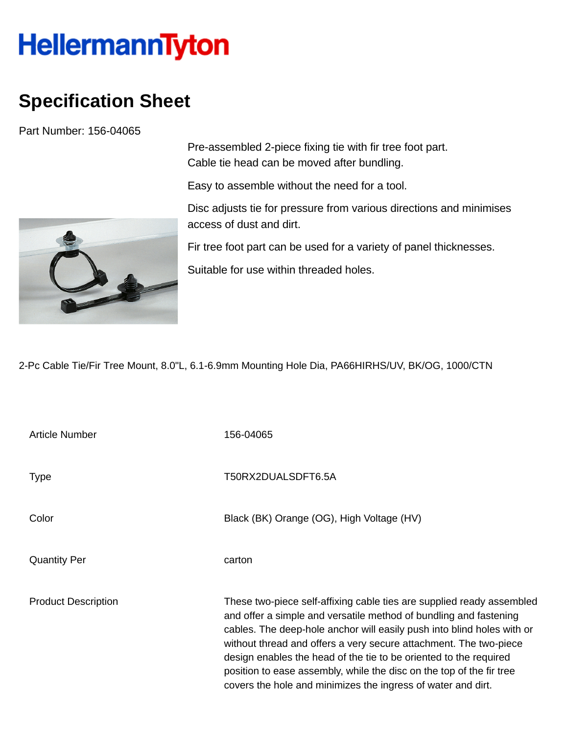## HellermannTyton

## **Specification Sheet**

Part Number: 156-04065



Pre-assembled 2-piece fixing tie with fir tree foot part. Cable tie head can be moved after bundling.

Easy to assemble without the need for a tool.

Disc adjusts tie for pressure from various directions and minimises access of dust and dirt.

Fir tree foot part can be used for a variety of panel thicknesses.

Suitable for use within threaded holes.

2-Pc Cable Tie/Fir Tree Mount, 8.0"L, 6.1-6.9mm Mounting Hole Dia, PA66HIRHS/UV, BK/OG, 1000/CTN

| <b>Article Number</b>      | 156-04065                                                                                                                                                                                                                                                                                                                                                                                                                                                                                              |
|----------------------------|--------------------------------------------------------------------------------------------------------------------------------------------------------------------------------------------------------------------------------------------------------------------------------------------------------------------------------------------------------------------------------------------------------------------------------------------------------------------------------------------------------|
| <b>Type</b>                | T50RX2DUALSDFT6.5A                                                                                                                                                                                                                                                                                                                                                                                                                                                                                     |
| Color                      | Black (BK) Orange (OG), High Voltage (HV)                                                                                                                                                                                                                                                                                                                                                                                                                                                              |
| <b>Quantity Per</b>        | carton                                                                                                                                                                                                                                                                                                                                                                                                                                                                                                 |
| <b>Product Description</b> | These two-piece self-affixing cable ties are supplied ready assembled<br>and offer a simple and versatile method of bundling and fastening<br>cables. The deep-hole anchor will easily push into blind holes with or<br>without thread and offers a very secure attachment. The two-piece<br>design enables the head of the tie to be oriented to the required<br>position to ease assembly, while the disc on the top of the fir tree<br>covers the hole and minimizes the ingress of water and dirt. |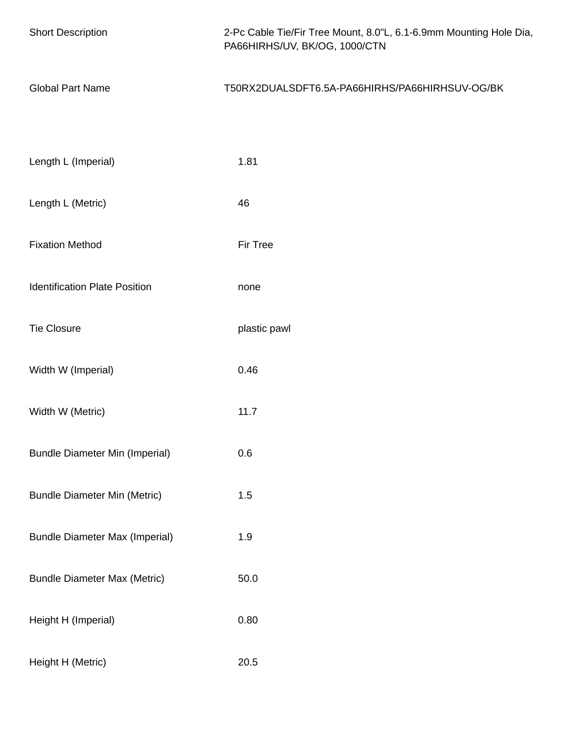| <b>Short Description</b>              | 2-Pc Cable Tie/Fir Tree Mount, 8.0"L, 6.1-6.9mm Mounting Hole Dia,<br>PA66HIRHS/UV, BK/OG, 1000/CTN |
|---------------------------------------|-----------------------------------------------------------------------------------------------------|
| <b>Global Part Name</b>               | T50RX2DUALSDFT6.5A-PA66HIRHS/PA66HIRHSUV-OG/BK                                                      |
|                                       |                                                                                                     |
| Length L (Imperial)                   | 1.81                                                                                                |
| Length L (Metric)                     | 46                                                                                                  |
| <b>Fixation Method</b>                | Fir Tree                                                                                            |
| <b>Identification Plate Position</b>  | none                                                                                                |
| <b>Tie Closure</b>                    | plastic pawl                                                                                        |
| Width W (Imperial)                    | 0.46                                                                                                |
| Width W (Metric)                      | 11.7                                                                                                |
| <b>Bundle Diameter Min (Imperial)</b> | 0.6                                                                                                 |
| <b>Bundle Diameter Min (Metric)</b>   | 1.5                                                                                                 |
| <b>Bundle Diameter Max (Imperial)</b> | 1.9                                                                                                 |
| <b>Bundle Diameter Max (Metric)</b>   | 50.0                                                                                                |
| Height H (Imperial)                   | 0.80                                                                                                |
| Height H (Metric)                     | $20.5\,$                                                                                            |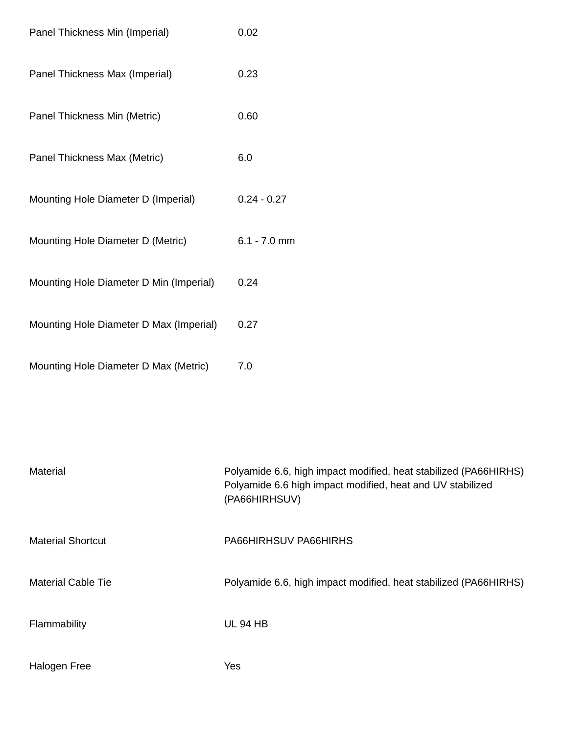| Panel Thickness Min (Imperial)          | 0.02           |
|-----------------------------------------|----------------|
| Panel Thickness Max (Imperial)          | 0.23           |
| Panel Thickness Min (Metric)            | 0.60           |
| Panel Thickness Max (Metric)            | 6.0            |
| Mounting Hole Diameter D (Imperial)     | $0.24 - 0.27$  |
| Mounting Hole Diameter D (Metric)       | $6.1 - 7.0$ mm |
| Mounting Hole Diameter D Min (Imperial) | 0.24           |
| Mounting Hole Diameter D Max (Imperial) | 0.27           |
| Mounting Hole Diameter D Max (Metric)   | 7.0            |

| Material                  | Polyamide 6.6, high impact modified, heat stabilized (PA66HIRHS)<br>Polyamide 6.6 high impact modified, heat and UV stabilized<br>(PA66HIRHSUV) |
|---------------------------|-------------------------------------------------------------------------------------------------------------------------------------------------|
| <b>Material Shortcut</b>  | PA66HIRHSUV PA66HIRHS                                                                                                                           |
| <b>Material Cable Tie</b> | Polyamide 6.6, high impact modified, heat stabilized (PA66HIRHS)                                                                                |
| Flammability              | <b>UL 94 HB</b>                                                                                                                                 |
| <b>Halogen Free</b>       | Yes                                                                                                                                             |